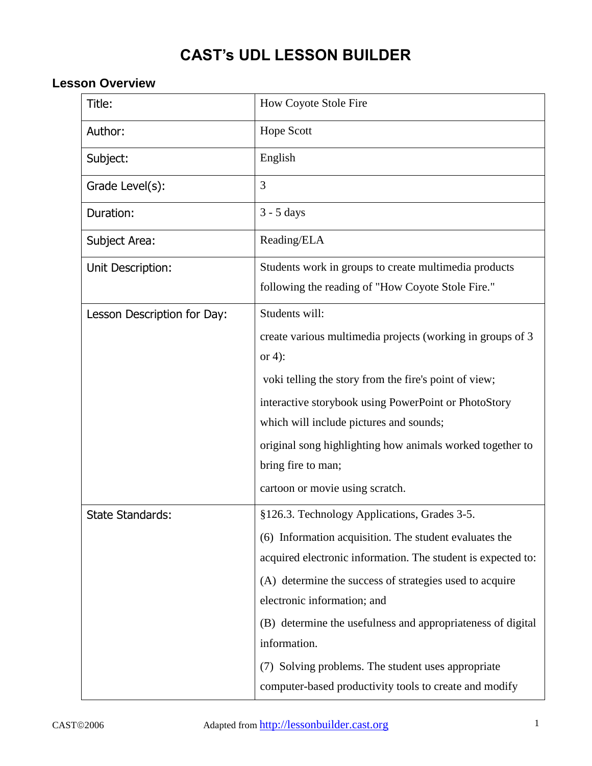# **CAST's UDL LESSON BUILDER**

## **Lesson Overview**

| Title:                      | How Coyote Stole Fire                                                                                                                                                                                                                                                                                                                                                                                                                                           |
|-----------------------------|-----------------------------------------------------------------------------------------------------------------------------------------------------------------------------------------------------------------------------------------------------------------------------------------------------------------------------------------------------------------------------------------------------------------------------------------------------------------|
| Author:                     | <b>Hope Scott</b>                                                                                                                                                                                                                                                                                                                                                                                                                                               |
| Subject:                    | English                                                                                                                                                                                                                                                                                                                                                                                                                                                         |
| Grade Level(s):             | 3                                                                                                                                                                                                                                                                                                                                                                                                                                                               |
| Duration:                   | $3 - 5$ days                                                                                                                                                                                                                                                                                                                                                                                                                                                    |
| Subject Area:               | Reading/ELA                                                                                                                                                                                                                                                                                                                                                                                                                                                     |
| Unit Description:           | Students work in groups to create multimedia products<br>following the reading of "How Coyote Stole Fire."                                                                                                                                                                                                                                                                                                                                                      |
| Lesson Description for Day: | Students will:<br>create various multimedia projects (working in groups of 3<br>or 4):<br>voki telling the story from the fire's point of view;<br>interactive storybook using PowerPoint or PhotoStory<br>which will include pictures and sounds;<br>original song highlighting how animals worked together to<br>bring fire to man;<br>cartoon or movie using scratch.                                                                                        |
| <b>State Standards:</b>     | §126.3. Technology Applications, Grades 3-5.<br>(6) Information acquisition. The student evaluates the<br>acquired electronic information. The student is expected to:<br>(A) determine the success of strategies used to acquire<br>electronic information; and<br>(B) determine the usefulness and appropriateness of digital<br>information.<br>(7) Solving problems. The student uses appropriate<br>computer-based productivity tools to create and modify |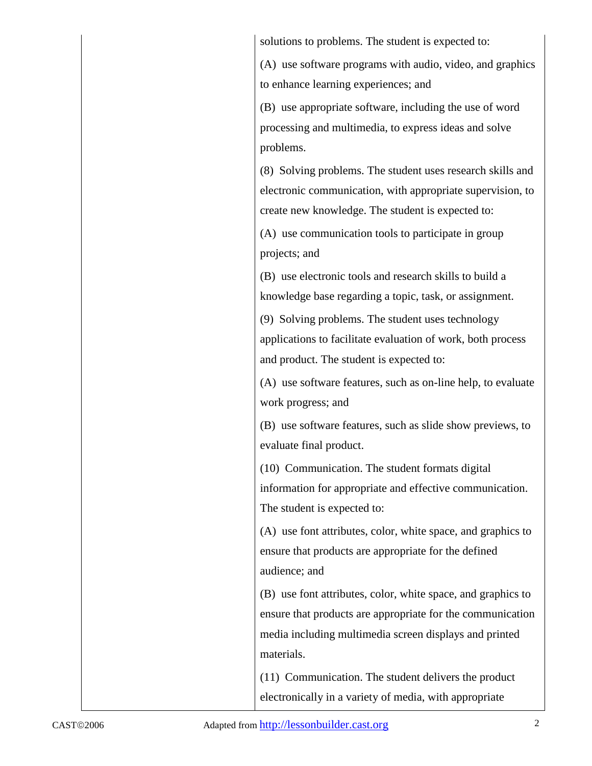| solutions to problems. The student is expected to:           |
|--------------------------------------------------------------|
| (A) use software programs with audio, video, and graphics    |
| to enhance learning experiences; and                         |
| (B) use appropriate software, including the use of word      |
| processing and multimedia, to express ideas and solve        |
| problems.                                                    |
| (8) Solving problems. The student uses research skills and   |
| electronic communication, with appropriate supervision, to   |
| create new knowledge. The student is expected to:            |
| (A) use communication tools to participate in group          |
| projects; and                                                |
| (B) use electronic tools and research skills to build a      |
| knowledge base regarding a topic, task, or assignment.       |
| (9) Solving problems. The student uses technology            |
| applications to facilitate evaluation of work, both process  |
| and product. The student is expected to:                     |
| (A) use software features, such as on-line help, to evaluate |
| work progress; and                                           |
| (B) use software features, such as slide show previews, to   |
| evaluate final product.                                      |
| (10) Communication. The student formats digital              |
| information for appropriate and effective communication.     |
| The student is expected to:                                  |
| (A) use font attributes, color, white space, and graphics to |
| ensure that products are appropriate for the defined         |
| audience; and                                                |
| (B) use font attributes, color, white space, and graphics to |
| ensure that products are appropriate for the communication   |
| media including multimedia screen displays and printed       |
| materials.                                                   |
| (11) Communication. The student delivers the product         |
| electronically in a variety of media, with appropriate       |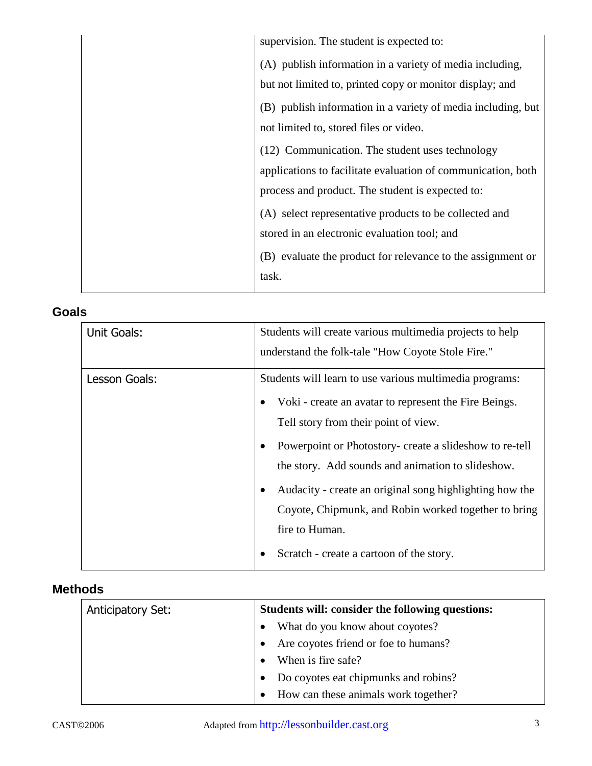| supervision. The student is expected to:                     |
|--------------------------------------------------------------|
| (A) publish information in a variety of media including,     |
| but not limited to, printed copy or monitor display; and     |
| (B) publish information in a variety of media including, but |
| not limited to, stored files or video.                       |
| (12) Communication. The student uses technology              |
| applications to facilitate evaluation of communication, both |
| process and product. The student is expected to:             |
| (A) select representative products to be collected and       |
| stored in an electronic evaluation tool; and                 |
| (B) evaluate the product for relevance to the assignment or  |
| task.                                                        |
|                                                              |

# **Goals**

| Unit Goals:   | Students will create various multimedia projects to help<br>understand the folk-tale "How Coyote Stole Fire."                                                                                                                                                                                                                                                                                                                                                                 |
|---------------|-------------------------------------------------------------------------------------------------------------------------------------------------------------------------------------------------------------------------------------------------------------------------------------------------------------------------------------------------------------------------------------------------------------------------------------------------------------------------------|
| Lesson Goals: | Students will learn to use various multimedia programs:<br>Voki - create an avatar to represent the Fire Beings.<br>٠<br>Tell story from their point of view.<br>Powerpoint or Photostory- create a slideshow to re-tell<br>٠<br>the story. Add sounds and animation to slideshow.<br>Audacity - create an original song highlighting how the<br>٠<br>Coyote, Chipmunk, and Robin worked together to bring<br>fire to Human.<br>Scratch - create a cartoon of the story.<br>٠ |

# **Methods**

| <b>Anticipatory Set:</b> | Students will: consider the following questions: |
|--------------------------|--------------------------------------------------|
|                          | What do you know about coyotes?                  |
|                          | Are coyotes friend or foe to humans?             |
|                          | When is fire safe?                               |
|                          | Do coyotes eat chipmunks and robins?             |
|                          | How can these animals work together?             |